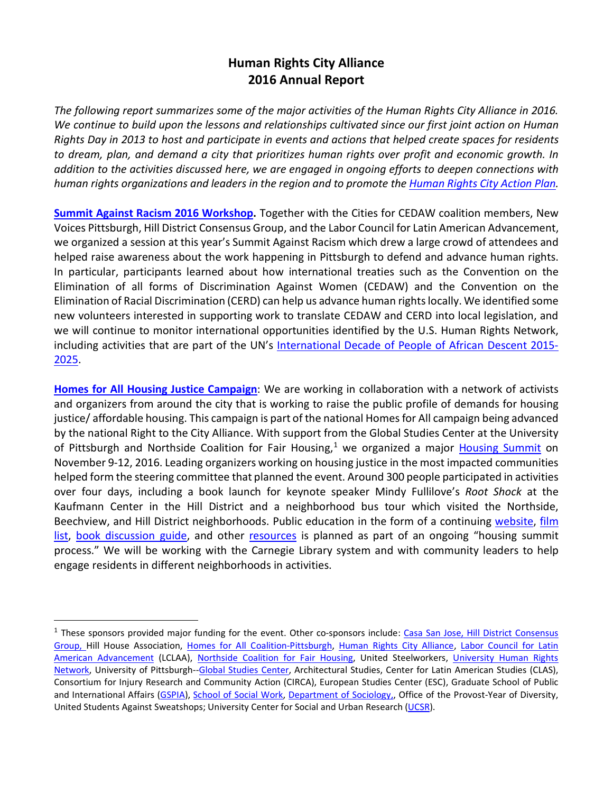## **Human Rights City Alliance 2016 Annual Report**

*The following report summarizes some of the major activities of the Human Rights City Alliance in 2016. We continue to build upon the lessons and relationships cultivated since our first joint action on Human Rights Day in 2013 to host and participate in events and actions that helped create spaces for residents to dream, plan, and demand a city that prioritizes human rights over profit and economic growth. In addition to the activities discussed here, we are engaged in ongoing efforts to deepen connections with human rights organizations and leaders in the region and to promote th[e Human Rights City Action Plan.](http://pgh-humanrightscity.wikispaces.com/Human+Rights+City+Action+Plan)*

**[Summit Against Racism 2016](http://pgh-humanrightscity.wikispaces.com/file/view/Summit%20Against%20Racism%202015%20REPORT%20and%20Agenda%20Priorities.pdf/539653736/Summit%20Against%20Racism%202015%20REPORT%20and%20Agenda%20Priorities.pdf) Workshop.** Together with the Cities for CEDAW coalition members, New Voices Pittsburgh, Hill District Consensus Group, and the Labor Council for Latin American Advancement, we organized a session at this year's Summit Against Racism which drew a large crowd of attendees and helped raise awareness about the work happening in Pittsburgh to defend and advance human rights. In particular, participants learned about how international treaties such as the Convention on the Elimination of all forms of Discrimination Against Women (CEDAW) and the Convention on the Elimination of Racial Discrimination (CERD) can help us advance human rights locally. We identified some new volunteers interested in supporting work to translate CEDAW and CERD into local legislation, and we will continue to monitor international opportunities identified by the U.S. Human Rights Network, including activities that are part of the UN's [International Decade of People of African Descent 2015-](http://www.un.org/en/events/africandescentdecade/) [2025.](http://www.un.org/en/events/africandescentdecade/)

**[Homes for All Housing Justice Campaign](http://pgh-humanrightscity.wikispaces.com/Housing+Justice)**: We are working in collaboration with a network of activists and organizers from around the city that is working to raise the public profile of demands for housing justice/ affordable housing. This campaign is part of the national Homes for All campaign being advanced by the national Right to the City Alliance. With support from the Global Studies Center at the University of Pittsburgh and Northside Coalition for Fair Housing, $1$  we organized a major [Housing Summit](http://housingsummitpgh.org/) on November 9-12, 2016. Leading organizers working on housing justice in the most impacted communities helped form the steering committee that planned the event. Around 300 people participated in activities over four days, including a book launch for keynote speaker Mindy Fullilove's *Root Shock* at the Kaufmann Center in the Hill District and a neighborhood bus tour which visited the Northside, Beechview, and Hill District neighborhoods. Public education in the form of a continuing [website,](http://housingsummitpgh.org/) [film](http://housingsummit.wikispaces.com/Films)  [list,](http://housingsummit.wikispaces.com/Films) [book discussion guide,](http://housingsummit.wikispaces.com/Book+discussions) and other [resources](http://housingsummit.wikispaces.com/Resources) is planned as part of an ongoing "housing summit process." We will be working with the Carnegie Library system and with community leaders to help engage residents in different neighborhoods in activities.

<span id="page-0-0"></span> $<sup>1</sup>$  These sponsors provided major funding for the event. Other co-sponsors include: Casa San Jose, Hill District Consensus</sup> [Group, H](http://www.hdcg.org/)ill House Association, [Homes for All Coalition-Pittsburgh,](http://homesforallpgh.org/) [Human Rights City Alliance,](http://pghrights.org/) [Labor Council for Latin](http://www.lclaa.org/)  [American Advancement](http://www.lclaa.org/) (LCLAA), [Northside Coalition for Fair Housing,](http://www.northsidetenants.org/) United Steelworkers, [University Human Rights](http://pgh-humanrightscity.wikispaces.com/University+Human+Rights+Network)  [Network,](http://pgh-humanrightscity.wikispaces.com/University+Human+Rights+Network) University of Pittsburgh-[-Global Studies Center,](http://www.ucis.pitt.edu/global/) Architectural Studies, Center for Latin American Studies (CLAS), Consortium for Injury Research and Community Action (CIRCA), European Studies Center (ESC), Graduate School of Public and International Affairs [\(GSPIA\)](http://www.gspia.pitt.edu/), [School of Social Work,](http://www.socialwork.pitt.edu/) [Department of Sociology,,](http://sociology.pitt.edu/) Office of the Provost-Year of Diversity, United Students Against Sweatshops; University Center for Social and Urban Research [\(UCSR\)](http://ucsur.pitt.edu/).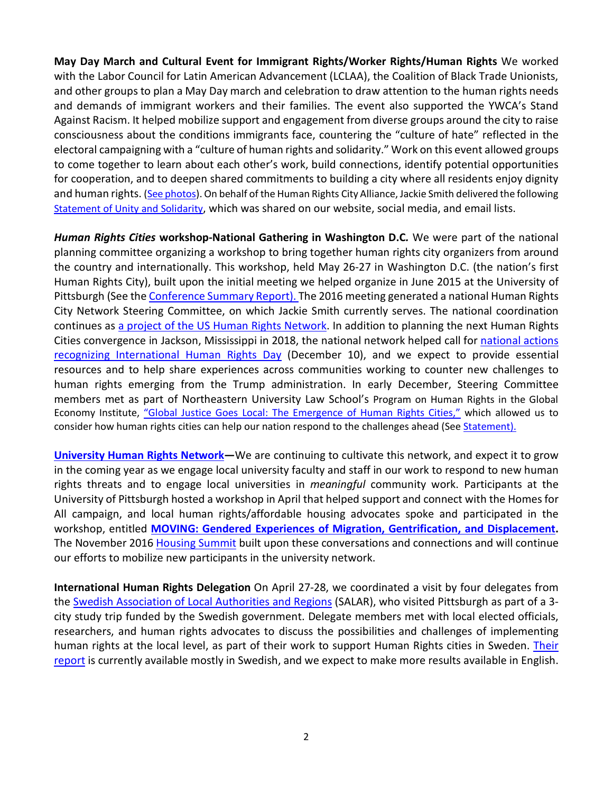**[May Day](http://pgh-humanrightscity.wikispaces.com/Human+Rights+Days+of+Action+Spring+2015) March and Cultural Event for Immigrant Rights/Worker Rights/Human Rights** We worked with the Labor Council for Latin American Advancement (LCLAA), the Coalition of Black Trade Unionists, and other groups to plan a May Day march and celebration to draw attention to the human rights needs and demands of immigrant workers and their families. The event also supported the YWCA's Stand Against Racism. It helped mobilize support and engagement from diverse groups around the city to raise consciousness about the conditions immigrants face, countering the "culture of hate" reflected in the electoral campaigning with a "culture of human rights and solidarity." Work on this event allowed groups to come together to learn about each other's work, build connections, identify potential opportunities for cooperation, and to deepen shared commitments to building a city where all residents enjoy dignity and human rights. [\(See photos\)](https://www.flickr.com/photos/ikegittlen/albums/72157667657095691). On behalf of the Human Rights City Alliance, Jackie Smith delivered the following [Statement of Unity and Solidarity,](http://pgh-humanrightscity.wikispaces.com/file/view/May%20Day%20March%20HRCA%20Statement.pdf/581781163/May%20Day%20March%20HRCA%20Statement.pdf) which was shared on our website, social media, and email lists.

*Human Rights Cities* **workshop-National Gathering in Washington D.C***.* We were part of the national planning committee organizing a workshop to bring together human rights city organizers from around the country and internationally. This workshop, held May 26-27 in Washington D.C. (the nation's first Human Rights City), built upon the initial meeting we helped organize in June 2015 at the University of Pittsburgh (See the [Conference Summary Report\)](http://pgh-humanrightscity.wikispaces.com/file/view/Conference%20summary%20-General%20Version%203%202.pdf/555558739/Conference%20summary%20-General%20Version%203%202.pdf). The 2016 meeting generated a national Human Rights City Network Steering Committee, on which Jackie Smith currently serves. The national coordination continues as [a project of the US Human Rights Network.](http://www.ushrnetwork.org/our-work/project/human-rights-cities) In addition to planning the next Human Rights Cities convergence in Jackson, Mississippi in 2018, the national network helped call for [national actions](http://www.ushrnetwork.org/events/2016-national-human-rights-days-action)  [recognizing International Human Rights Day](http://www.ushrnetwork.org/events/2016-national-human-rights-days-action) (December 10), and we expect to provide essential resources and to help share experiences across communities working to counter new challenges to human rights emerging from the Trump administration. In early December, Steering Committee members met as part of Northeastern University Law School's Program on Human Rights in the Global Economy Institute, "Global Justice [Goes Local: The Emergence of Human Rights Cities,"](http://www.northeastern.edu/law/academics/institutes/phrge/events/institutes/institute2016.html) which allowed us to consider how human rights cities can help our nation respond to the challenges ahead (See [Statement\)](http://www.northeastern.edu/law/pdfs/academics/phrge/institute2016/statement.pdf).

**[University Human Rights Network—](http://pgh-humanrightscity.wikispaces.com/University+Human+Rights+Network)**We are continuing to cultivate this network, and expect it to grow in the coming year as we engage local university faculty and staff in our work to respond to new human rights threats and to engage local universities in *meaningful* community work. Participants at the University of Pittsburgh hosted a workshop in April that helped support and connect with the Homes for All campaign, and local human rights/affordable housing advocates spoke and participated in the workshop, entitled **[MOVING:](http://www.ucis.pitt.edu/global/moving) [Gendered Experiences of Migration, Gentrification, and Displacement.](http://www.ucis.pitt.edu/global/moving)** The November 2016 [Housing Summit](http://housingsummitpgh.org/) built upon these conversations and connections and will continue our efforts to mobilize new participants in the university network.

**International Human Rights Delegation** On April 27-28, we coordinated a visit by four delegates from the [Swedish Association of Local Authorities and Regions](https://skl.se/tjanster/englishpages/municipalitiescountycouncilsandregions.1088.html) (SALAR), who visited Pittsburgh as part of a 3 city study trip funded by the Swedish government. Delegate members met with local elected officials, researchers, and human rights advocates to discuss the possibilities and challenges of implementing human rights at the local level, as part of their work to support Human Rights cities in Sweden. Their [report](https://skl.se/download/18.da066ea158bed4f53b8bd/1480681153323/SKL-Magasinet-M%C3%A4nskliga+r%C3%A4ttigheter-nov-2016.pdf) is currently available mostly in Swedish, and we expect to make more results available in English.